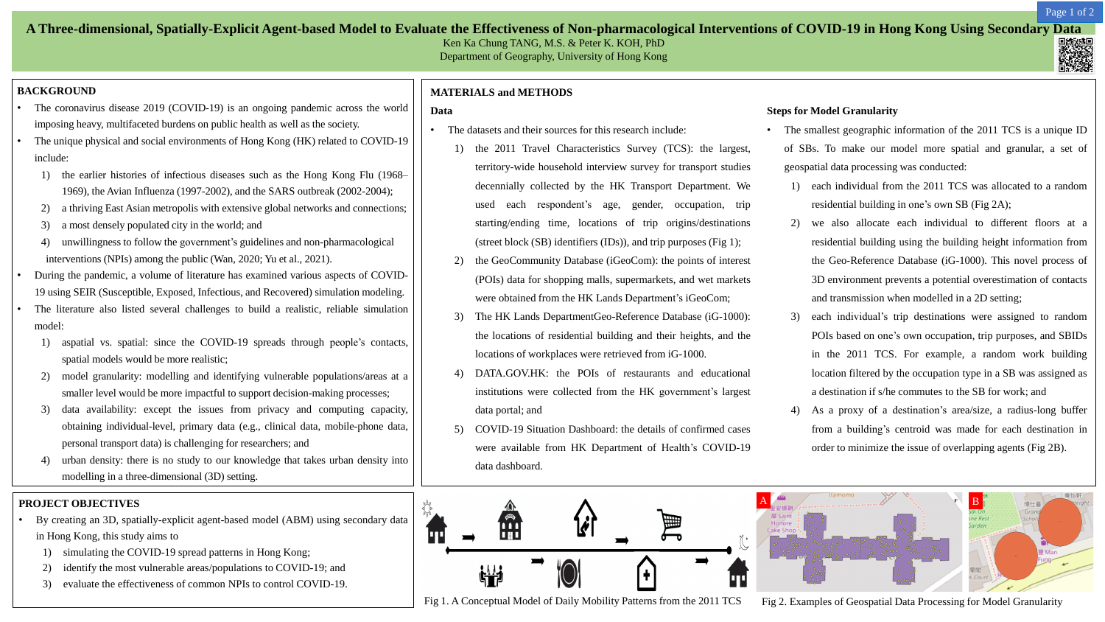# **A Three-dimensional, Spatially-Explicit Agent-based Model to Evaluate the Effectiveness of Non-pharmacological Interventions of COVID-19 in Hong Kong Using Secondary Data**

Ken Ka Chung TANG, M.S. & Peter K. KOH, PhD Department of Geography, University of Hong Kong

### **BACKGROUND**

- The coronavirus disease 2019 (COVID-19) is an ongoing pandemic across the world imposing heavy, multifaceted burdens on public health as well as the society.
- The unique physical and social environments of Hong Kong (HK) related to COVID-19 include:
	- 1) the earlier histories of infectious diseases such as the Hong Kong Flu (1968– 1969), the Avian Influenza (1997-2002), and the SARS outbreak (2002-2004);
	- 2) a thriving East Asian metropolis with extensive global networks and connections;
	- 3) a most densely populated city in the world; and
	- 4) unwillingness to follow the government's guidelines and non-pharmacological interventions (NPIs) among the public (Wan, 2020; Yu et al., 2021).
- During the pandemic, a volume of literature has examined various aspects of COVID-19 using SEIR (Susceptible, Exposed, Infectious, and Recovered) simulation modeling.
- The literature also listed several challenges to build a realistic, reliable simulation model:
	- 1) aspatial vs. spatial: since the COVID-19 spreads through people's contacts, spatial models would be more realistic;
	- 2) model granularity: modelling and identifying vulnerable populations/areas at a smaller level would be more impactful to support decision-making processes;
	- 3) data availability: except the issues from privacy and computing capacity, obtaining individual-level, primary data (e.g., clinical data, mobile-phone data, personal transport data) is challenging for researchers; and
	- 4) urban density: there is no study to our knowledge that takes urban density into modelling in a three-dimensional (3D) setting.
- The datasets and their sources for this research include:
	- 1) the 2011 Travel Characteristics Survey (TCS): the largest, territory-wide household interview survey for transport studies decennially collected by the HK Transport Department. We used each respondent's age, gender, occupation, trip starting/ending time, locations of trip origins/destinations (street block (SB) identifiers (IDs)), and trip purposes (Fig 1);
	- 2) the GeoCommunity Database (iGeoCom): the points of interest (POIs) data for shopping malls, supermarkets, and wet markets were obtained from the HK Lands Department's iGeoCom;
	- 3) The HK Lands DepartmentGeo-Reference Database (iG-1000): the locations of residential building and their heights, and the locations of workplaces were retrieved from iG-1000.
	- 4) DATA.GOV.HK: the POIs of restaurants and educational institutions were collected from the HK government's largest data portal; and
	- 5) COVID-19 Situation Dashboard: the details of confirmed cases were available from HK Department of Health's COVID-19 data dashboard.

### **MATERIALS and METHODS**

### **Data**

- The smallest geographic information of the 2011 TCS is a unique ID of SBs. To make our model more spatial and granular, a set of geospatial data processing was conducted:
	- 1) each individual from the 2011 TCS was allocated to a random residential building in one's own SB (Fig 2A);
	- 2) we also allocate each individual to different floors at a residential building using the building height information from the Geo-Reference Database (iG-1000). This novel process of 3D environment prevents a potential overestimation of contacts and transmission when modelled in a 2D setting;
	- 3) each individual's trip destinations were assigned to random POIs based on one's own occupation, trip purposes, and SBIDs in the 2011 TCS. For example, a random work building location filtered by the occupation type in a SB was assigned as a destination if s/he commutes to the SB for work; and
	- As a proxy of a destination's area/size, a radius-long buffer from a building's centroid was made for each destination in order to minimize the issue of overlapping agents (Fig 2B).

Fig 1. A Conceptual Model of Daily Mobility Patterns from the 2011 TCS Fig 2. Examples of Geospatial Data Processing for Model Granularity

#### **Steps for Model Granularity**

### **PROJECT OBJECTIVES**

- By creating an 3D, spatially-explicit agent-based model (ABM) using secondary data in Hong Kong, this study aims to
	- 1) simulating the COVID-19 spread patterns in Hong Kong;
	- 2) identify the most vulnerable areas/populations to COVID-19; and
	- 3) evaluate the effectiveness of common NPIs to control COVID-19.